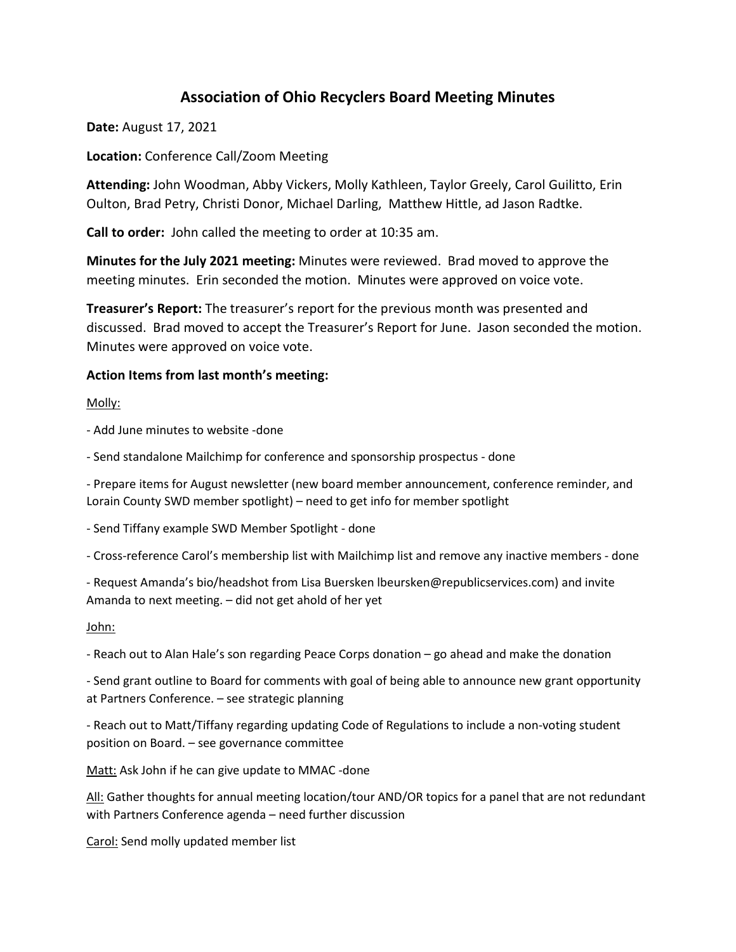# **Association of Ohio Recyclers Board Meeting Minutes**

**Date:** August 17, 2021

**Location:** Conference Call/Zoom Meeting

**Attending:** John Woodman, Abby Vickers, Molly Kathleen, Taylor Greely, Carol Guilitto, Erin Oulton, Brad Petry, Christi Donor, Michael Darling, Matthew Hittle, ad Jason Radtke.

**Call to order:** John called the meeting to order at 10:35 am.

**Minutes for the July 2021 meeting:** Minutes were reviewed. Brad moved to approve the meeting minutes. Erin seconded the motion. Minutes were approved on voice vote.

**Treasurer's Report:** The treasurer's report for the previous month was presented and discussed. Brad moved to accept the Treasurer's Report for June. Jason seconded the motion. Minutes were approved on voice vote.

#### **Action Items from last month's meeting:**

Molly:

- Add June minutes to website -done

- Send standalone Mailchimp for conference and sponsorship prospectus - done

- Prepare items for August newsletter (new board member announcement, conference reminder, and Lorain County SWD member spotlight) – need to get info for member spotlight

- Send Tiffany example SWD Member Spotlight - done

- Cross-reference Carol's membership list with Mailchimp list and remove any inactive members - done

- Request Amanda's bio/headshot from Lisa Buersken lbeursken@republicservices.com) and invite Amanda to next meeting. – did not get ahold of her yet

John:

- Reach out to Alan Hale's son regarding Peace Corps donation – go ahead and make the donation

- Send grant outline to Board for comments with goal of being able to announce new grant opportunity at Partners Conference. – see strategic planning

- Reach out to Matt/Tiffany regarding updating Code of Regulations to include a non-voting student position on Board. – see governance committee

Matt: Ask John if he can give update to MMAC -done

All: Gather thoughts for annual meeting location/tour AND/OR topics for a panel that are not redundant with Partners Conference agenda – need further discussion

Carol: Send molly updated member list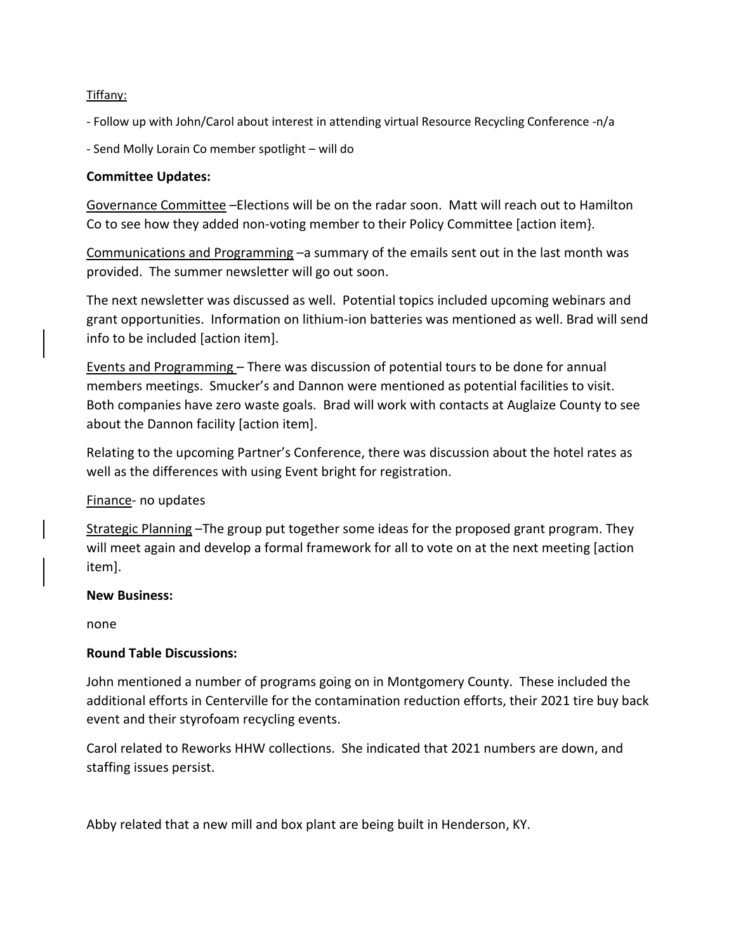### Tiffany:

- Follow up with John/Carol about interest in attending virtual Resource Recycling Conference -n/a

- Send Molly Lorain Co member spotlight – will do

#### **Committee Updates:**

Governance Committee –Elections will be on the radar soon. Matt will reach out to Hamilton Co to see how they added non-voting member to their Policy Committee [action item}.

Communications and Programming –a summary of the emails sent out in the last month was provided. The summer newsletter will go out soon.

The next newsletter was discussed as well. Potential topics included upcoming webinars and grant opportunities. Information on lithium-ion batteries was mentioned as well. Brad will send info to be included [action item].

Events and Programming – There was discussion of potential tours to be done for annual members meetings. Smucker's and Dannon were mentioned as potential facilities to visit. Both companies have zero waste goals. Brad will work with contacts at Auglaize County to see about the Dannon facility [action item].

Relating to the upcoming Partner's Conference, there was discussion about the hotel rates as well as the differences with using Event bright for registration.

### Finance- no updates

Strategic Planning –The group put together some ideas for the proposed grant program. They will meet again and develop a formal framework for all to vote on at the next meeting [action item].

#### **New Business:**

none

### **Round Table Discussions:**

John mentioned a number of programs going on in Montgomery County. These included the additional efforts in Centerville for the contamination reduction efforts, their 2021 tire buy back event and their styrofoam recycling events.

Carol related to Reworks HHW collections. She indicated that 2021 numbers are down, and staffing issues persist.

Abby related that a new mill and box plant are being built in Henderson, KY.